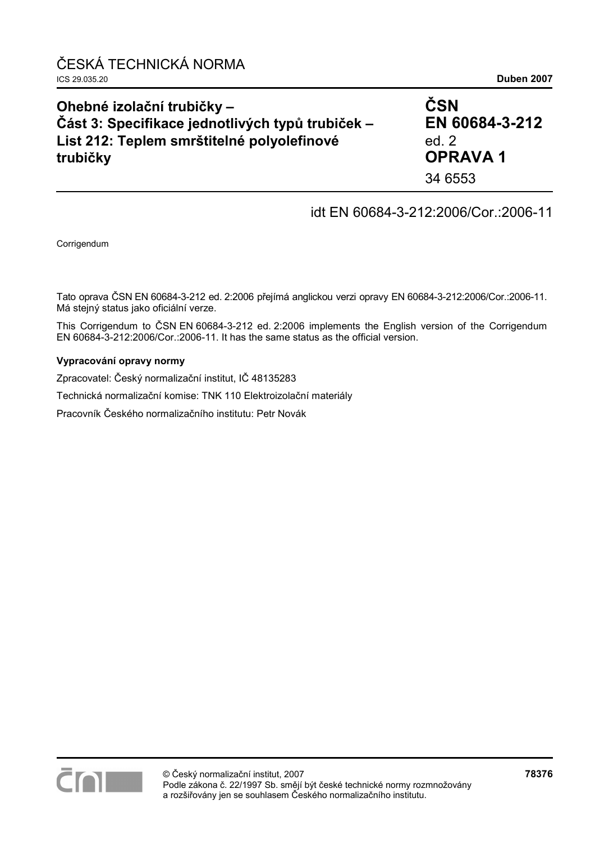| Ohebné izolační trubičky -                       | ČSN            |  |
|--------------------------------------------------|----------------|--|
| Část 3: Specifikace jednotlivých typů trubiček - | EN 60684-3-212 |  |
| List 212: Teplem smrštitelné polyolefinové       | ed. $2$        |  |
| trubičky                                         | <b>OPRAVA1</b> |  |
|                                                  | 34 6553        |  |

## idt EN 60684-3-212:2006/Cor.:2006-11

Corrigendum

Tato oprava ČSN EN 60684-3-212 ed. 2:2006 přejímá anglickou verzi opravy EN 60684-3-212:2006/Cor.:2006-11. Má stejný status jako oficiální verze.

This Corrigendum to ČSN EN 60684-3-212 ed. 2:2006 implements the English version of the Corrigendum EN 60684-3-212:2006/Cor.:2006-11. It has the same status as the official version.

#### **Vypracování opravy normy**

Zpracovatel: Český normalizační institut, IČ 48135283

Technická normalizační komise: TNK 110 Elektroizolační materiály

Pracovník Českého normalizačního institutu: Petr Novák

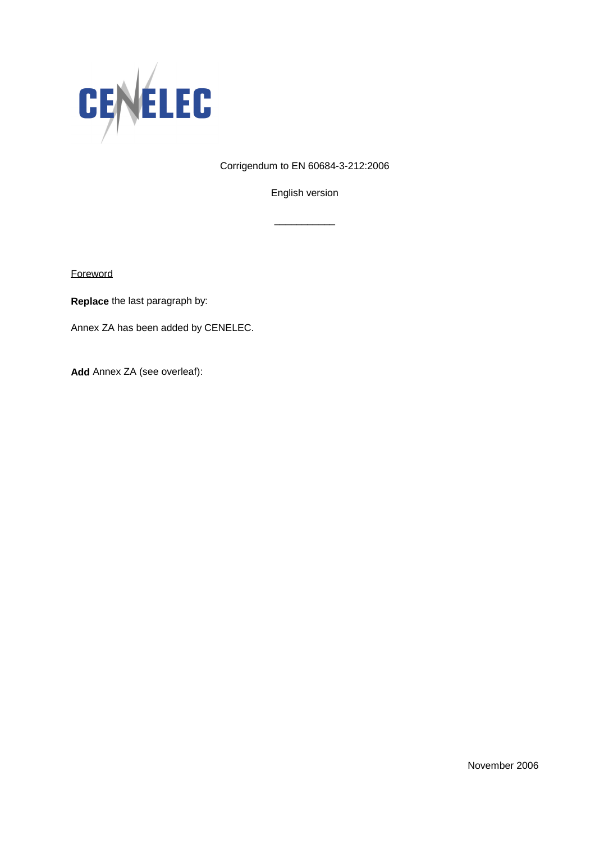

Corrigendum to EN 60684-3-212:2006

English version

\_\_\_\_\_\_\_\_\_\_\_

**Foreword** 

**Replace** the last paragraph by:

Annex ZA has been added by CENELEC.

**Add** Annex ZA (see overleaf):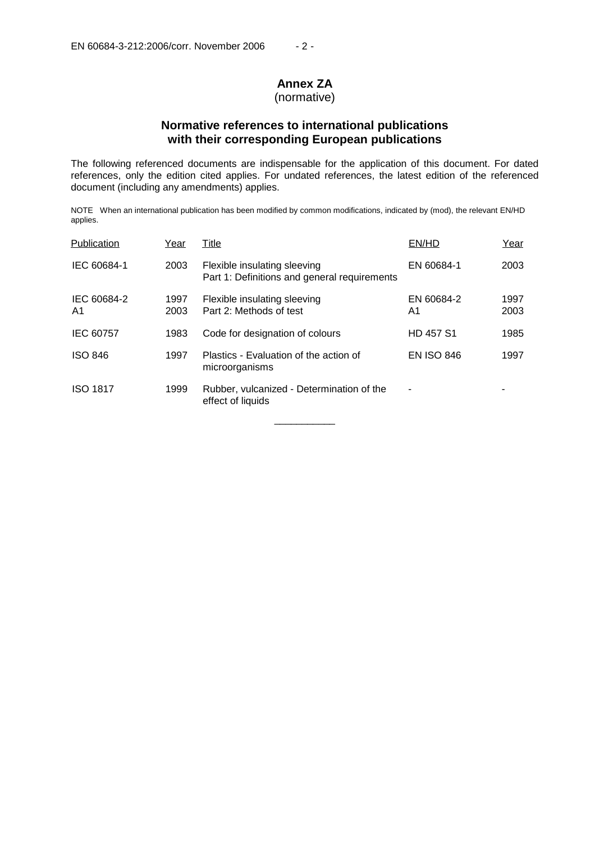# **Annex ZA**

### (normative)

### **Normative references to international publications with their corresponding European publications**

The following referenced documents are indispensable for the application of this document. For dated references, only the edition cited applies. For undated references, the latest edition of the referenced document (including any amendments) applies.

NOTE When an international publication has been modified by common modifications, indicated by (mod), the relevant EN/HD applies.

| Publication       | Year         | Title                                                                        | EN/HD             | Year         |
|-------------------|--------------|------------------------------------------------------------------------------|-------------------|--------------|
| IEC 60684-1       | 2003         | Flexible insulating sleeving<br>Part 1: Definitions and general requirements | EN 60684-1        | 2003         |
| IEC 60684-2<br>A1 | 1997<br>2003 | Flexible insulating sleeving<br>Part 2: Methods of test                      | EN 60684-2<br>A1  | 1997<br>2003 |
| IEC 60757         | 1983         | Code for designation of colours                                              | <b>HD 457 S1</b>  | 1985         |
| <b>ISO 846</b>    | 1997         | Plastics - Evaluation of the action of<br>microorganisms                     | <b>EN ISO 846</b> | 1997         |
| <b>ISO 1817</b>   | 1999         | Rubber, vulcanized - Determination of the<br>effect of liquids               | ٠                 |              |

\_\_\_\_\_\_\_\_\_\_\_